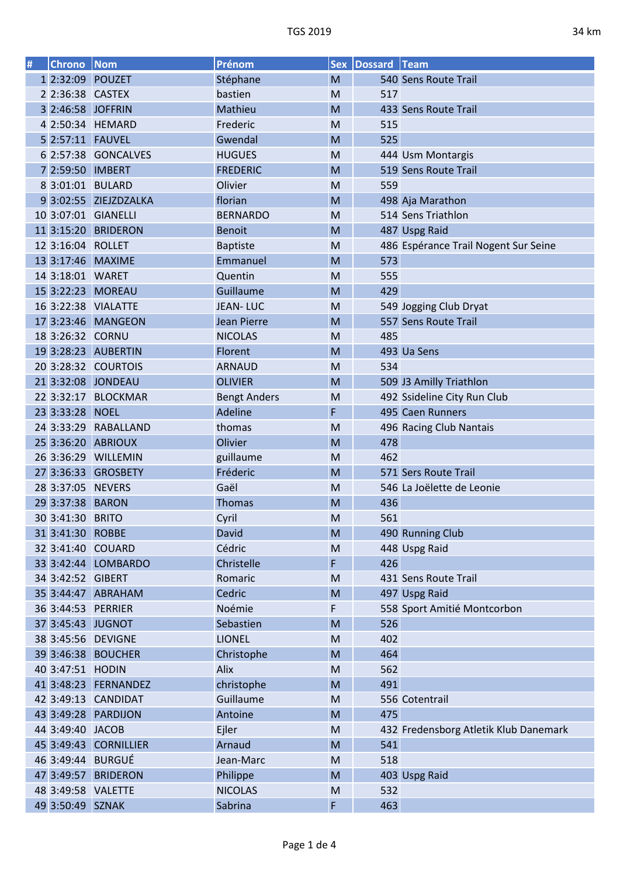| # | <b>Chrono   Nom</b> |                       | Prénom              |   | Sex   Dossard   Team |                                       |
|---|---------------------|-----------------------|---------------------|---|----------------------|---------------------------------------|
|   | 1 2:32:09 POUZET    |                       | Stéphane            | M |                      | 540 Sens Route Trail                  |
|   | 2 2:36:38 CASTEX    |                       | bastien             | M | 517                  |                                       |
|   | 3 2:46:58 JOFFRIN   |                       | Mathieu             | M |                      | 433 Sens Route Trail                  |
|   |                     | 4 2:50:34 HEMARD      | Frederic            | M | 515                  |                                       |
|   |                     |                       | Gwendal             | M | 525                  |                                       |
|   |                     | 6 2:57:38 GONCALVES   | <b>HUGUES</b>       | M |                      | 444 Usm Montargis                     |
|   | 7 2:59:50 IMBERT    |                       | <b>FREDERIC</b>     | M |                      | 519 Sens Route Trail                  |
|   | 8 3:01:01 BULARD    |                       | Olivier             | M | 559                  |                                       |
|   |                     | 9 3:02:55 ZIEJZDZALKA | florian             | M |                      | 498 Aja Marathon                      |
|   |                     | 10 3:07:01 GIANELLI   | <b>BERNARDO</b>     | M |                      | 514 Sens Triathlon                    |
|   |                     | 11 3:15:20 BRIDERON   | <b>Benoit</b>       | M |                      | 487 Uspg Raid                         |
|   | 12 3:16:04 ROLLET   |                       | <b>Baptiste</b>     | M |                      | 486 Espérance Trail Nogent Sur Seine  |
|   |                     | 13 3:17:46 MAXIME     | Emmanuel            | M | 573                  |                                       |
|   | 14 3:18:01 WARET    |                       | Quentin             | M | 555                  |                                       |
|   |                     | 15 3:22:23 MOREAU     | Guillaume           | M | 429                  |                                       |
|   |                     | 16 3:22:38 VIALATTE   | <b>JEAN-LUC</b>     | M |                      | 549 Jogging Club Dryat                |
|   |                     | 17 3:23:46 MANGEON    | Jean Pierre         | M |                      | 557 Sens Route Trail                  |
|   | 18 3:26:32 CORNU    |                       | <b>NICOLAS</b>      | M | 485                  |                                       |
|   |                     | 19 3:28:23 AUBERTIN   | Florent             | M |                      | 493 Ua Sens                           |
|   |                     | 20 3:28:32 COURTOIS   | <b>ARNAUD</b>       | M | 534                  |                                       |
|   |                     | 21 3:32:08 JONDEAU    | <b>OLIVIER</b>      | M |                      |                                       |
|   |                     |                       |                     |   |                      | 509 J3 Amilly Triathlon               |
|   |                     | 22 3:32:17 BLOCKMAR   | <b>Bengt Anders</b> | M |                      | 492 Ssideline City Run Club           |
|   | 23 3:33:28 NOEL     |                       | Adeline             | F |                      | 495 Caen Runners                      |
|   |                     | 24 3:33:29 RABALLAND  | thomas              | M |                      | 496 Racing Club Nantais               |
|   |                     | 25 3:36:20 ABRIOUX    | Olivier             | M | 478                  |                                       |
|   |                     | 26 3:36:29 WILLEMIN   | guillaume           | M | 462                  |                                       |
|   |                     | 27 3:36:33 GROSBETY   | Fréderic            | M |                      | 571 Sers Route Trail                  |
|   | 28 3:37:05 NEVERS   |                       | Gaël                | M |                      | 546 La Joëlette de Leonie             |
|   | 29 3:37:38 BARON    |                       | <b>Thomas</b>       | M | 436                  |                                       |
|   | 30 3:41:30 BRITO    |                       | Cyril               | M | 561                  |                                       |
|   | 31 3:41:30 ROBBE    |                       | David               | M |                      | 490 Running Club                      |
|   |                     | 32 3:41:40 COUARD     | Cédric              | M |                      | 448 Uspg Raid                         |
|   |                     | 33 3:42:44 LOMBARDO   | Christelle          | F | 426                  |                                       |
|   | 34 3:42:52 GIBERT   |                       | Romaric             | M |                      | 431 Sens Route Trail                  |
|   |                     | 35 3:44:47 ABRAHAM    | Cedric              | M |                      | 497 Uspg Raid                         |
|   |                     | 36 3:44:53 PERRIER    | Noémie              | F |                      | 558 Sport Amitié Montcorbon           |
|   |                     | 37 3:45:43 JUGNOT     | Sebastien           | M | 526                  |                                       |
|   |                     | 38 3:45:56 DEVIGNE    | <b>LIONEL</b>       | M | 402                  |                                       |
|   |                     | 39 3:46:38 BOUCHER    | Christophe          | M | 464                  |                                       |
|   | 40 3:47:51 HODIN    |                       | Alix                | M | 562                  |                                       |
|   |                     | 41 3:48:23 FERNANDEZ  | christophe          | M | 491                  |                                       |
|   |                     | 42 3:49:13 CANDIDAT   | Guillaume           | M |                      | 556 Cotentrail                        |
|   |                     | 43 3:49:28 PARDIJON   | Antoine             | M | 475                  |                                       |
|   | 44 3:49:40 JACOB    |                       | Ejler               | M |                      | 432 Fredensborg Atletik Klub Danemark |
|   |                     | 45 3:49:43 CORNILLIER | Arnaud              | M | 541                  |                                       |
|   |                     | 46 3:49:44 BURGUÉ     | Jean-Marc           | M | 518                  |                                       |
|   |                     | 47 3:49:57 BRIDERON   | Philippe            | M |                      | 403 Uspg Raid                         |
|   |                     | 48 3:49:58 VALETTE    | <b>NICOLAS</b>      | M | 532                  |                                       |
|   | 49 3:50:49 SZNAK    |                       | Sabrina             | F | 463                  |                                       |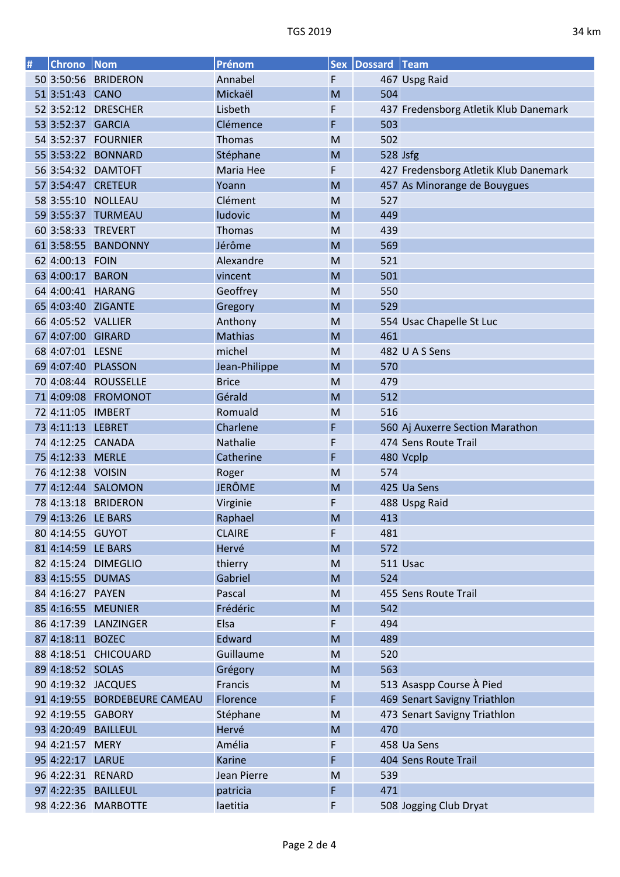| # | Chrono Nom         |                              | Prénom         | <b>Sex</b> | Dossard Team |                                       |
|---|--------------------|------------------------------|----------------|------------|--------------|---------------------------------------|
|   |                    | 50 3:50:56 BRIDERON          | Annabel        | F          |              | 467 Uspg Raid                         |
|   | 51 3:51:43 CANO    |                              | Mickaël        | M          | 504          |                                       |
|   |                    | 52 3:52:12 DRESCHER          | Lisbeth        | F          |              | 437 Fredensborg Atletik Klub Danemark |
|   | 53 3:52:37 GARCIA  |                              | Clémence       | F          | 503          |                                       |
|   |                    | 54 3:52:37 FOURNIER          | Thomas         | M          | 502          |                                       |
|   |                    | 55 3:53:22 BONNARD           | Stéphane       | M          | 528 Jsfg     |                                       |
|   |                    | 56 3:54:32 DAMTOFT           | Maria Hee      | F          |              | 427 Fredensborg Atletik Klub Danemark |
|   |                    | 57 3:54:47 CRETEUR           | Yoann          | M          |              | 457 As Minorange de Bouygues          |
|   |                    | 58 3:55:10 NOLLEAU           | Clément        | M          | 527          |                                       |
|   | 59 3:55:37         | <b>TURMEAU</b>               | ludovic        | M          | 449          |                                       |
|   |                    | 60 3:58:33 TREVERT           | Thomas         | M          | 439          |                                       |
|   |                    | 61 3:58:55 BANDONNY          | Jérôme         | M          | 569          |                                       |
|   | 62 4:00:13 FOIN    |                              | Alexandre      | M          | 521          |                                       |
|   | 63 4:00:17 BARON   |                              | vincent        | M          | 501          |                                       |
|   |                    | 64 4:00:41 HARANG            | Geoffrey       | M          | 550          |                                       |
|   |                    | 65 4:03:40 ZIGANTE           | Gregory        | M          | 529          |                                       |
|   | 66 4:05:52 VALLIER |                              | Anthony        | M          |              | 554 Usac Chapelle St Luc              |
|   | 67 4:07:00 GIRARD  |                              | <b>Mathias</b> | M          | 461          |                                       |
|   | 68 4:07:01 LESNE   |                              | michel         | M          |              | 482 U A S Sens                        |
|   |                    | 69 4:07:40 PLASSON           | Jean-Philippe  | M          | 570          |                                       |
|   |                    | 70 4:08:44 ROUSSELLE         | <b>Brice</b>   | M          | 479          |                                       |
|   |                    | 71 4:09:08 FROMONOT          | Gérald         | M          | 512          |                                       |
|   | 72 4:11:05 IMBERT  |                              | Romuald        | M          | 516          |                                       |
|   | 73 4:11:13 LEBRET  |                              | Charlene       | F          |              | 560 Aj Auxerre Section Marathon       |
|   |                    | 74 4:12:25 CANADA            | Nathalie       | F          |              | 474 Sens Route Trail                  |
|   | 75 4:12:33 MERLE   |                              | Catherine      | F          |              | 480 Vcplp                             |
|   | 76 4:12:38 VOISIN  |                              | Roger          | M          | 574          |                                       |
|   |                    | 77 4:12:44 SALOMON           | <b>JERÔME</b>  | M          |              | 425 Ua Sens                           |
|   |                    | 78 4:13:18 BRIDERON          | Virginie       | F          |              | 488 Uspg Raid                         |
|   | 79 4:13:26 LE BARS |                              | Raphael        | M          | 413          |                                       |
|   | 80 4:14:55 GUYOT   |                              | <b>CLAIRE</b>  | F          | 481          |                                       |
|   | 81 4:14:59 LE BARS |                              | Hervé          | M          | 572          |                                       |
|   |                    | 82 4:15:24 DIMEGLIO          | thierry        | M          |              | 511 Usac                              |
|   | 83 4:15:55 DUMAS   |                              | Gabriel        | M          | 524          |                                       |
|   | 84 4:16:27 PAYEN   |                              | Pascal         | M          |              | 455 Sens Route Trail                  |
|   |                    | 85 4:16:55 MEUNIER           | Frédéric       | M          | 542          |                                       |
|   |                    | 86 4:17:39 LANZINGER         | Elsa           | F          | 494          |                                       |
|   | 87 4:18:11 BOZEC   |                              | Edward         | M          | 489          |                                       |
|   |                    | 88 4:18:51 CHICOUARD         | Guillaume      | M          | 520          |                                       |
|   | 89 4:18:52 SOLAS   |                              | Grégory        | M          | 563          |                                       |
|   |                    | 90 4:19:32 JACQUES           | Francis        | M          |              | 513 Asaspp Course À Pied              |
|   |                    | 91 4:19:55 BORDEBEURE CAMEAU | Florence       | F          |              | 469 Senart Savigny Triathlon          |
|   |                    | 92 4:19:55 GABORY            | Stéphane       | M          |              | 473 Senart Savigny Triathlon          |
|   |                    | 93 4:20:49 BAILLEUL          | Hervé          | M          | 470          |                                       |
|   | 94 4:21:57 MERY    |                              | Amélia         | F          |              | 458 Ua Sens                           |
|   | 95 4:22:17 LARUE   |                              | Karine         | F          |              | 404 Sens Route Trail                  |
|   | 96 4:22:31 RENARD  |                              | Jean Pierre    | M          | 539          |                                       |
|   |                    | 97 4:22:35 BAILLEUL          | patricia       | F          | 471          |                                       |
|   |                    | 98 4:22:36 MARBOTTE          | laetitia       | F          |              | 508 Jogging Club Dryat                |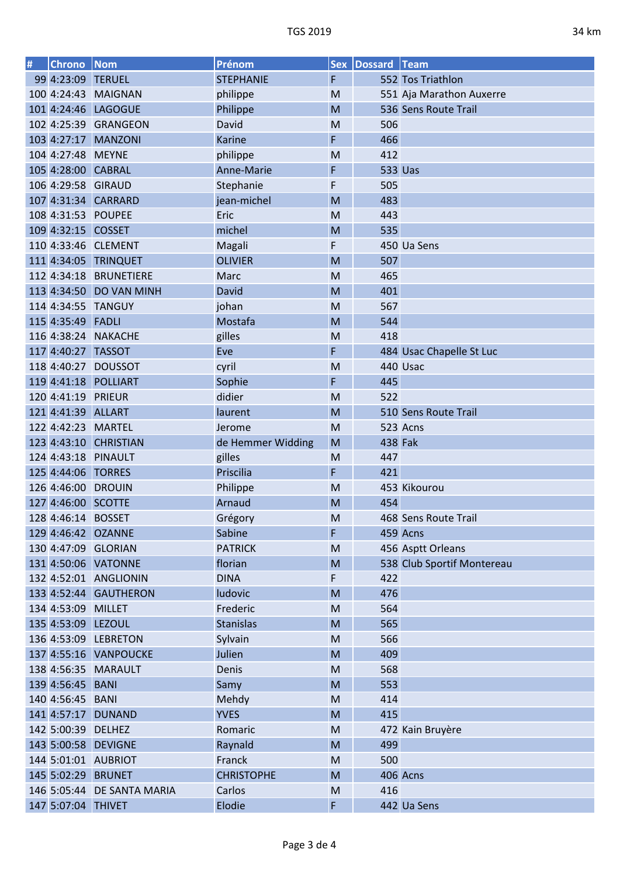| # | Chrono             | Nom                        | Prénom              | <b>Sex</b>                                                                                                 | Dossard Team   |                            |
|---|--------------------|----------------------------|---------------------|------------------------------------------------------------------------------------------------------------|----------------|----------------------------|
|   | 99 4:23:09 TERUEL  |                            | <b>STEPHANIE</b>    | F                                                                                                          |                | 552 Tos Triathlon          |
|   |                    | 100 4:24:43 MAIGNAN        | philippe            | M                                                                                                          |                | 551 Aja Marathon Auxerre   |
|   |                    | 101 4:24:46 LAGOGUE        | Philippe            | M                                                                                                          |                | 536 Sens Route Trail       |
|   |                    | 102 4:25:39 GRANGEON       | David               | M                                                                                                          | 506            |                            |
|   |                    | 103 4:27:17 MANZONI        | <b>Karine</b>       | F                                                                                                          | 466            |                            |
|   | 104 4:27:48 MEYNE  |                            | philippe            | M                                                                                                          | 412            |                            |
|   | 105 4:28:00 CABRAL |                            | Anne-Marie          | F                                                                                                          | <b>533 Uas</b> |                            |
|   | 106 4:29:58 GIRAUD |                            | Stephanie           | F                                                                                                          | 505            |                            |
|   |                    | 107 4:31:34 CARRARD        | jean-michel         | M                                                                                                          | 483            |                            |
|   | 108 4:31:53 POUPEE |                            | Eric                | M                                                                                                          | 443            |                            |
|   | 109 4:32:15 COSSET |                            | michel              | M                                                                                                          | 535            |                            |
|   |                    | 110 4:33:46 CLEMENT        | Magali              | F                                                                                                          |                | 450 Ua Sens                |
|   |                    | 111 4:34:05 TRINQUET       | <b>OLIVIER</b>      | M                                                                                                          | 507            |                            |
|   |                    | 112 4:34:18 BRUNETIERE     | Marc                | M                                                                                                          | 465            |                            |
|   |                    | 113 4:34:50 DO VAN MINH    | David               | M                                                                                                          | 401            |                            |
|   |                    | 114 4:34:55 TANGUY         | johan               | M                                                                                                          | 567            |                            |
|   | 115 4:35:49 FADLI  |                            | Mostafa             | M                                                                                                          | 544            |                            |
|   |                    | 116 4:38:24 NAKACHE        | gilles              | M                                                                                                          | 418            |                            |
|   | 117 4:40:27 TASSOT |                            | Eve                 | F                                                                                                          |                | 484 Usac Chapelle St Luc   |
|   |                    | 118 4:40:27 DOUSSOT        | cyril               | M                                                                                                          |                | 440 Usac                   |
|   |                    | 119 4:41:18 POLLIART       | Sophie              | F                                                                                                          | 445            |                            |
|   | 120 4:41:19 PRIEUR |                            | didier              | M                                                                                                          | 522            |                            |
|   | 121 4:41:39 ALLART |                            | laurent             | M                                                                                                          |                | 510 Sens Route Trail       |
|   | 122 4:42:23 MARTEL |                            | Jerome              | M                                                                                                          |                | 523 Acns                   |
|   |                    | 123 4:43:10 CHRISTIAN      | de Hemmer Widding   | M                                                                                                          | 438 Fak        |                            |
|   |                    | 124 4:43:18 PINAULT        |                     |                                                                                                            | 447            |                            |
|   | 125 4:44:06 TORRES |                            | gilles<br>Priscilia | M                                                                                                          | 421            |                            |
|   |                    |                            |                     | F                                                                                                          |                |                            |
|   | 126 4:46:00 DROUIN |                            | Philippe            | M                                                                                                          |                | 453 Kikourou               |
|   | 127 4:46:00 SCOTTE |                            | Arnaud              | M                                                                                                          | 454            |                            |
|   | 128 4:46:14 BOSSET |                            | Grégory             | M                                                                                                          |                | 468 Sens Route Trail       |
|   |                    | 129 4:46:42 OZANNE         | Sabine              | F                                                                                                          |                | 459 Acns                   |
|   |                    | 130 4:47:09 GLORIAN        | <b>PATRICK</b>      | ${\sf M}$                                                                                                  |                | 456 Asptt Orleans          |
|   |                    | 131 4:50:06 VATONNE        | florian             | M                                                                                                          |                | 538 Club Sportif Montereau |
|   |                    | 132 4:52:01 ANGLIONIN      | <b>DINA</b>         | F                                                                                                          | 422            |                            |
|   |                    | 133 4:52:44 GAUTHERON      | ludovic             | M                                                                                                          | 476            |                            |
|   | 134 4:53:09 MILLET |                            | Frederic            | M                                                                                                          | 564            |                            |
|   | 135 4:53:09 LEZOUL |                            | <b>Stanislas</b>    | M                                                                                                          | 565            |                            |
|   |                    | 136 4:53:09 LEBRETON       | Sylvain             | M                                                                                                          | 566            |                            |
|   |                    | 137 4:55:16 VANPOUCKE      | Julien              | M                                                                                                          | 409            |                            |
|   |                    | 138 4:56:35 MARAULT        | Denis               | ${\sf M}$                                                                                                  | 568            |                            |
|   | 139 4:56:45 BANI   |                            | Samy                | M                                                                                                          | 553            |                            |
|   | 140 4:56:45 BANI   |                            | Mehdy               | $\mathsf{M}% _{T}=\mathsf{M}_{T}\!\left( a,b\right) ,\ \mathsf{M}_{T}=\mathsf{M}_{T}\!\left( a,b\right) ,$ | 414            |                            |
|   |                    | 141 4:57:17 DUNAND         | <b>YVES</b>         | M                                                                                                          | 415            |                            |
|   | 142 5:00:39 DELHEZ |                            | Romaric             | ${\sf M}$                                                                                                  |                | 472 Kain Bruyère           |
|   |                    | 143 5:00:58 DEVIGNE        | Raynald             | M                                                                                                          | 499            |                            |
|   |                    | 144 5:01:01 AUBRIOT        | Franck              | ${\sf M}$                                                                                                  | 500            |                            |
|   |                    | 145 5:02:29 BRUNET         | <b>CHRISTOPHE</b>   | M                                                                                                          |                | 406 Acns                   |
|   |                    | 146 5:05:44 DE SANTA MARIA | Carlos              | ${\sf M}$                                                                                                  | 416            |                            |
|   | 147 5:07:04 THIVET |                            | Elodie              | F                                                                                                          |                | 442 Ua Sens                |